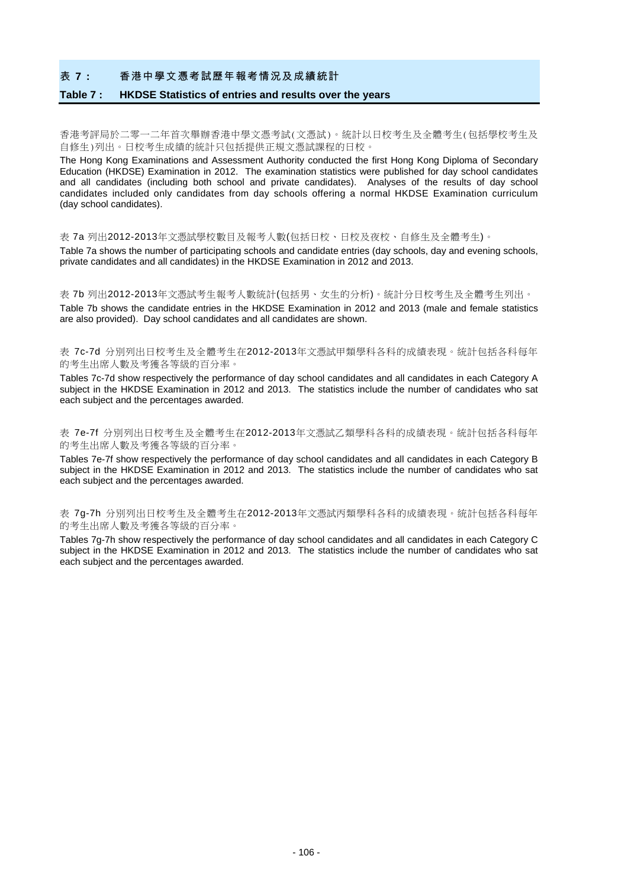### 表 **7 :** 香港中學文憑考試歷年報考情況及成績統計

#### **Table 7 : HKDSE Statistics of entries and results over the years**

香港考評局於二零一二年首次舉辦香港中學文憑考試(文憑試)。統計以日校考生及全體考生(包括學校考生及 自修生)列出。日校考生成績的統計只包括提供正規文憑試課程的日校。

The Hong Kong Examinations and Assessment Authority conducted the first Hong Kong Diploma of Secondary Education (HKDSE) Examination in 2012. The examination statistics were published for day school candidates and all candidates (including both school and private candidates). Analyses of the results of day school candidates included only candidates from day schools offering a normal HKDSE Examination curriculum (day school candidates).

表 7a 列出2012-2013年文憑試學校數目及報考人數(包括日校、日校及夜校、自修生及全體考生)。

Table 7a shows the number of participating schools and candidate entries (day schools, day and evening schools, private candidates and all candidates) in the HKDSE Examination in 2012 and 2013.

表 7b 列出2012-2013年文憑試考生報考人數統計(包括男、女生的分析)。統計分日校考生及全體考生列出。 Table 7b shows the candidate entries in the HKDSE Examination in 2012 and 2013 (male and female statistics are also provided). Day school candidates and all candidates are shown.

表 7c-7d 分別列出日校考生及全體考生在2012-2013年文憑試甲類學科各科的成績表現。統計包括各科每年 的考生出席人數及考獲各等級的百分率。

Tables 7c-7d show respectively the performance of day school candidates and all candidates in each Category A subject in the HKDSE Examination in 2012 and 2013. The statistics include the number of candidates who sat each subject and the percentages awarded.

表 7e-7f 分別列出日校考生及全體考生在2012-2013年文憑試乙類學科各科的成績表現。統計包括各科每年 的考生出席人數及考獲各等級的百分率。

Tables 7e-7f show respectively the performance of day school candidates and all candidates in each Category B subject in the HKDSE Examination in 2012 and 2013. The statistics include the number of candidates who sat each subject and the percentages awarded.

表 7g-7h 分別列出日校考生及全體考生在2012-2013年文憑試丙類學科各科的成績表現。統計包括各科每年 的考生出席人數及考獲各等級的百分率。

Tables 7g-7h show respectively the performance of day school candidates and all candidates in each Category C subject in the HKDSE Examination in 2012 and 2013. The statistics include the number of candidates who sat each subject and the percentages awarded.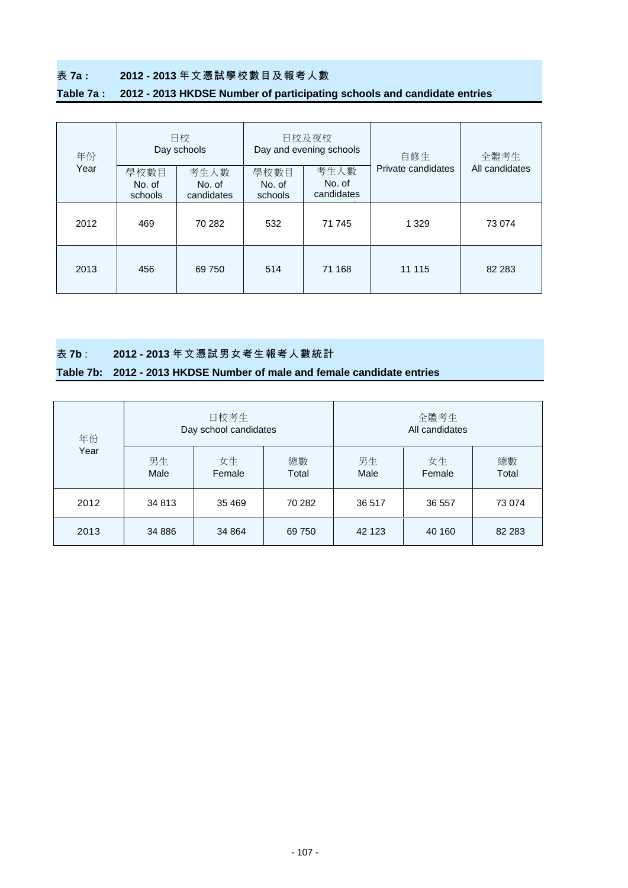## 表 **7a : 2012 - 2013** 年文憑試學校數目及報考人數

## **Table 7a : 2012 - 2013 HKDSE Number of participating schools and candidate entries**

| 年份   |                           | 日校<br>Day schools            |                           | 日校及夜校<br>Day and evening schools | 自修生                | 全體考生           |  |
|------|---------------------------|------------------------------|---------------------------|----------------------------------|--------------------|----------------|--|
| Year | 學校數目<br>No. of<br>schools | 考生人數<br>No. of<br>candidates | 學校數目<br>No. of<br>schools | 考生人數<br>No. of<br>candidates     | Private candidates | All candidates |  |
| 2012 | 469                       | 70 282                       | 532                       | 71 745                           | 1 3 2 9            | 73 074         |  |
| 2013 | 456                       | 69 750                       | 514                       | 71 168                           | 11 115             | 82 283         |  |

表 **7b** : **2012 - 2013** 年文憑試男女考生報考人數統計

### **Table 7b: 2012 - 2013 HKDSE Number of male and female candidate entries**

| 年份   |            | 日校考生<br>Day school candidates |             | 全體考生<br>All candidates |              |             |  |  |  |
|------|------------|-------------------------------|-------------|------------------------|--------------|-------------|--|--|--|
| Year | 男生<br>Male | 女生<br>Female                  | 總數<br>Total | 男生<br>Male             | 女生<br>Female | 總數<br>Total |  |  |  |
| 2012 | 34 813     | 35 4 69                       | 70 282      | 36 517                 | 36 557       | 73 074      |  |  |  |
| 2013 | 34 886     | 34 864                        | 69 750      | 42 123                 | 40 160       | 82 283      |  |  |  |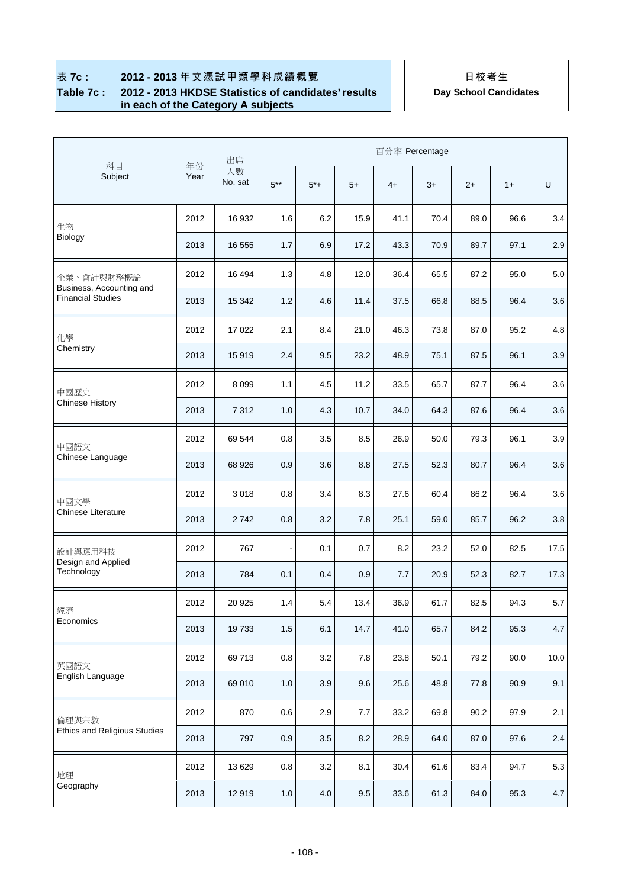### **Table 7c : 2012 - 2013 HKDSE Statistics of candidates' results in each of the Category A subjects**

| 百分率 Percentage<br>出席<br>科目<br>年份                     |      |               |               |         |         |      |      |      |      |      |
|------------------------------------------------------|------|---------------|---------------|---------|---------|------|------|------|------|------|
| Subject                                              | Year | 人數<br>No. sat | $5***$        | $5*+$   | $5+$    | $4+$ | $3+$ | $2+$ | $1+$ | U    |
| 生物                                                   | 2012 | 16 932        | 1.6           | 6.2     | 15.9    | 41.1 | 70.4 | 89.0 | 96.6 | 3.4  |
| Biology                                              | 2013 | 16 555        | 1.7           | 6.9     | 17.2    | 43.3 | 70.9 | 89.7 | 97.1 | 2.9  |
| 企業、會計與財務概論                                           | 2012 | 16 494        | 1.3           | 4.8     | 12.0    | 36.4 | 65.5 | 87.2 | 95.0 | 5.0  |
| Business, Accounting and<br><b>Financial Studies</b> | 2013 | 15 342        | 1.2           | 4.6     | 11.4    | 37.5 | 66.8 | 88.5 | 96.4 | 3.6  |
| 化學                                                   | 2012 | 17 022        | 2.1           | 8.4     | 21.0    | 46.3 | 73.8 | 87.0 | 95.2 | 4.8  |
| Chemistry                                            | 2013 | 15919         | 2.4           | 9.5     | 23.2    | 48.9 | 75.1 | 87.5 | 96.1 | 3.9  |
| 中國歷史                                                 | 2012 | 8 0 9 9       | 1.1           | 4.5     | 11.2    | 33.5 | 65.7 | 87.7 | 96.4 | 3.6  |
| <b>Chinese History</b>                               | 2013 | 7 3 1 2       | 1.0           | 4.3     | 10.7    | 34.0 | 64.3 | 87.6 | 96.4 | 3.6  |
| 中國語文                                                 | 2012 | 69 544        | 0.8           | 3.5     | 8.5     | 26.9 | 50.0 | 79.3 | 96.1 | 3.9  |
| Chinese Language                                     | 2013 | 68 926        | 0.9           | 3.6     | 8.8     | 27.5 | 52.3 | 80.7 | 96.4 | 3.6  |
| 中國文學                                                 | 2012 | 3018          | 0.8           | 3.4     | 8.3     | 27.6 | 60.4 | 86.2 | 96.4 | 3.6  |
| Chinese Literature                                   | 2013 | 2742          | 0.8           | 3.2     | 7.8     | 25.1 | 59.0 | 85.7 | 96.2 | 3.8  |
| 設計與應用科技                                              | 2012 | 767           | $\frac{1}{2}$ | 0.1     | 0.7     | 8.2  | 23.2 | 52.0 | 82.5 | 17.5 |
| Design and Applied<br>Technology                     | 2013 | 784           | 0.1           | 0.4     | 0.9     | 7.7  | 20.9 | 52.3 | 82.7 | 17.3 |
| 經濟                                                   | 2012 | 20 9 25       | 1.4           | 5.4     | 13.4    | 36.9 | 61.7 | 82.5 | 94.3 | 5.7  |
| Economics                                            | 2013 | 19733         | $1.5$         | 6.1     | 14.7    | 41.0 | 65.7 | 84.2 | 95.3 | 4.7  |
| 英國語文                                                 | 2012 | 69713         | $0.8\,$       | $3.2\,$ | $7.8\,$ | 23.8 | 50.1 | 79.2 | 90.0 | 10.0 |
| English Language                                     | 2013 | 69 010        | 1.0           | $3.9\,$ | 9.6     | 25.6 | 48.8 | 77.8 | 90.9 | 9.1  |
| 倫理與宗教                                                | 2012 | 870           | 0.6           | 2.9     | 7.7     | 33.2 | 69.8 | 90.2 | 97.9 | 2.1  |
| <b>Ethics and Religious Studies</b>                  | 2013 | 797           | 0.9           | $3.5\,$ | 8.2     | 28.9 | 64.0 | 87.0 | 97.6 | 2.4  |
| 地理                                                   | 2012 | 13 629        | 0.8           | 3.2     | 8.1     | 30.4 | 61.6 | 83.4 | 94.7 | 5.3  |
| Geography                                            | 2013 | 12 919        | $1.0\,$       | $4.0\,$ | 9.5     | 33.6 | 61.3 | 84.0 | 95.3 | 4.7  |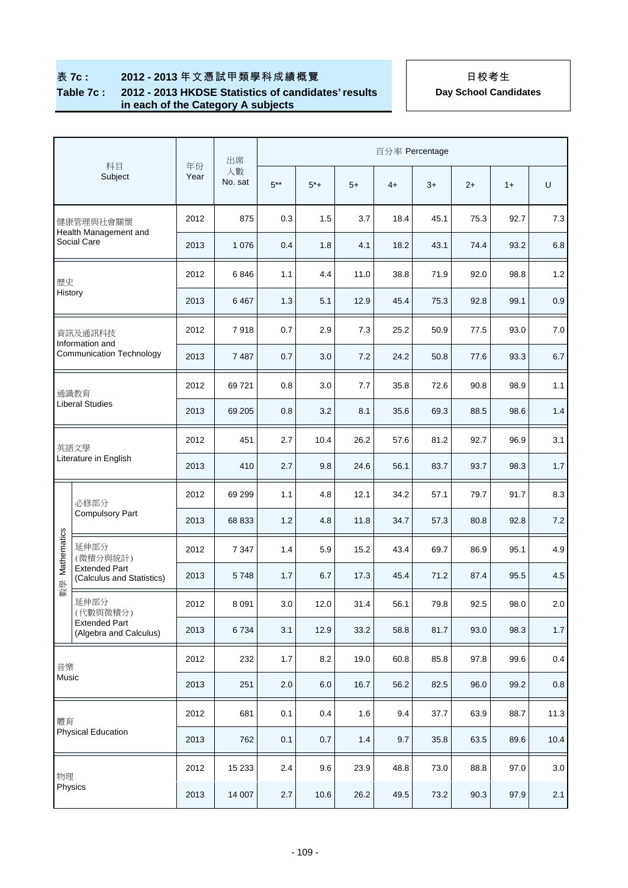#### **Table 7c : 2012 - 2013 HKDSE Statistics of candidates' results in each of the Category A subjects**

|             |                                                    |            | 出席            |         |       |      | 百分率 Percentage |      |      |      |         |
|-------------|----------------------------------------------------|------------|---------------|---------|-------|------|----------------|------|------|------|---------|
|             | 科目<br>Subject                                      | 年份<br>Year | 人數<br>No. sat | $5***$  | $5*+$ | $5+$ | $4+$           | $3+$ | $2+$ | $1+$ | U       |
|             | 健康管理與社會關懷                                          | 2012       | 875           | 0.3     | 1.5   | 3.7  | 18.4           | 45.1 | 75.3 | 92.7 | 7.3     |
|             | Health Management and<br>Social Care               | 2013       | 1 0 7 6       | 0.4     | 1.8   | 4.1  | 18.2           | 43.1 | 74.4 | 93.2 | 6.8     |
| 歷史          |                                                    | 2012       | 6846          | 1.1     | 4.4   | 11.0 | 38.8           | 71.9 | 92.0 | 98.8 | 1.2     |
| History     |                                                    | 2013       | 6467          | 1.3     | 5.1   | 12.9 | 45.4           | 75.3 | 92.8 | 99.1 | 0.9     |
|             | 資訊及通訊科技                                            | 2012       | 7918          | 0.7     | 2.9   | 7.3  | 25.2           | 50.9 | 77.5 | 93.0 | $7.0$   |
|             | Information and<br><b>Communication Technology</b> | 2013       | 7487          | 0.7     | 3.0   | 7.2  | 24.2           | 50.8 | 77.6 | 93.3 | 6.7     |
|             | 通識教育                                               | 2012       | 69721         | 0.8     | 3.0   | 7.7  | 35.8           | 72.6 | 90.8 | 98.9 | 1.1     |
|             | <b>Liberal Studies</b>                             | 2013       | 69 205        | 0.8     | 3.2   | 8.1  | 35.6           | 69.3 | 88.5 | 98.6 | 1.4     |
|             | 英語文學                                               | 2012       | 451           | 2.7     | 10.4  | 26.2 | 57.6           | 81.2 | 92.7 | 96.9 | 3.1     |
|             | Literature in English                              | 2013       | 410           | 2.7     | 9.8   | 24.6 | 56.1           | 83.7 | 93.7 | 98.3 | 1.7     |
|             | 必修部分                                               | 2012       | 69 299        | 1.1     | 4.8   | 12.1 | 34.2           | 57.1 | 79.7 | 91.7 | 8.3     |
|             | <b>Compulsory Part</b>                             | 2013       | 68 833        | 1.2     | 4.8   | 11.8 | 34.7           | 57.3 | 80.8 | 92.8 | 7.2     |
| Mathematics | 延伸部分<br>(微積分與統計)                                   | 2012       | 7 3 4 7       | 1.4     | 5.9   | 15.2 | 43.4           | 69.7 | 86.9 | 95.1 | 4.9     |
| 數學          | <b>Extended Part</b><br>(Calculus and Statistics)  | 2013       | 5748          | 1.7     | 6.7   | 17.3 | 45.4           | 71.2 | 87.4 | 95.5 | 4.5     |
|             | 延伸部分<br>(代數與微積分)                                   | 2012       | 8 0 9 1       | 3.0     | 12.0  | 31.4 | 56.1           | 79.8 | 92.5 | 98.0 | 2.0     |
|             | <b>Extended Part</b><br>(Algebra and Calculus)     | 2013       | 6734          | 3.1     | 12.9  | 33.2 | 58.8           | 81.7 | 93.0 | 98.3 | $1.7$   |
| 音樂          |                                                    | 2012       | 232           | 1.7     | 8.2   | 19.0 | 60.8           | 85.8 | 97.8 | 99.6 | 0.4     |
| Music       |                                                    | 2013       | 251           | $2.0\,$ | 6.0   | 16.7 | 56.2           | 82.5 | 96.0 | 99.2 | $0.8\,$ |
| 體育          |                                                    | 2012       | 681           | 0.1     | 0.4   | 1.6  | 9.4            | 37.7 | 63.9 | 88.7 | 11.3    |
|             | <b>Physical Education</b>                          | 2013       | 762           | 0.1     | 0.7   | 1.4  | 9.7            | 35.8 | 63.5 | 89.6 | 10.4    |
| 物理          |                                                    | 2012       | 15 2 33       | 2.4     | 9.6   | 23.9 | 48.8           | 73.0 | 88.8 | 97.0 | $3.0\,$ |
| Physics     |                                                    | 2013       | 14 007        | $2.7\,$ | 10.6  | 26.2 | 49.5           | 73.2 | 90.3 | 97.9 | 2.1     |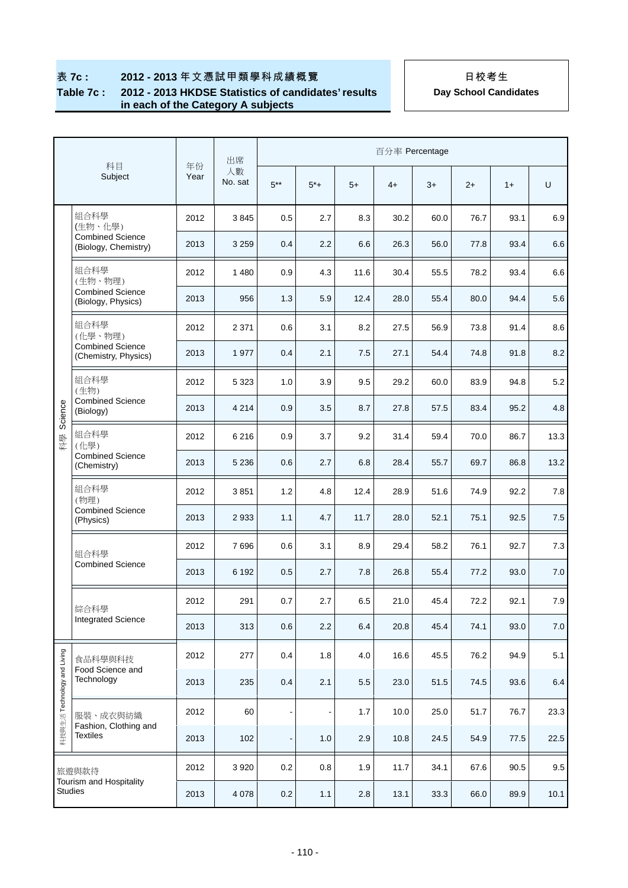#### **Table 7c : 2012 - 2013 HKDSE Statistics of candidates' results in each of the Category A subjects**

|                             |                                                 |            | 出席            |                              |          |      | 百分率 Percentage |      |      |      |       |
|-----------------------------|-------------------------------------------------|------------|---------------|------------------------------|----------|------|----------------|------|------|------|-------|
|                             | 科目<br>Subject                                   | 年份<br>Year | 人數<br>No. sat | $5***$                       | $5^{*}+$ | $5+$ | $4+$           | $3+$ | $2+$ | $1+$ | U     |
|                             | 組合科學<br>(生物、化學)                                 | 2012       | 3845          | 0.5                          | 2.7      | 8.3  | 30.2           | 60.0 | 76.7 | 93.1 | 6.9   |
|                             | <b>Combined Science</b><br>(Biology, Chemistry) | 2013       | 3 2 5 9       | 0.4                          | 2.2      | 6.6  | 26.3           | 56.0 | 77.8 | 93.4 | 6.6   |
|                             | 組合科學<br>(生物、物理)                                 | 2012       | 1 4 8 0       | 0.9                          | 4.3      | 11.6 | 30.4           | 55.5 | 78.2 | 93.4 | 6.6   |
|                             | <b>Combined Science</b><br>(Biology, Physics)   | 2013       | 956           | 1.3                          | 5.9      | 12.4 | 28.0           | 55.4 | 80.0 | 94.4 | 5.6   |
|                             | 組合科學<br>(化學、物理)                                 | 2012       | 2 3 7 1       | 0.6                          | 3.1      | 8.2  | 27.5           | 56.9 | 73.8 | 91.4 | 8.6   |
|                             | <b>Combined Science</b><br>(Chemistry, Physics) | 2013       | 1977          | 0.4                          | 2.1      | 7.5  | 27.1           | 54.4 | 74.8 | 91.8 | 8.2   |
|                             | 組合科學<br>(生物)                                    | 2012       | 5 3 2 3       | 1.0                          | 3.9      | 9.5  | 29.2           | 60.0 | 83.9 | 94.8 | 5.2   |
| Science                     | <b>Combined Science</b><br>(Biology)            | 2013       | 4 2 1 4       | 0.9                          | 3.5      | 8.7  | 27.8           | 57.5 | 83.4 | 95.2 | 4.8   |
| 科學                          | 組合科學<br>(化學)                                    | 2012       | 6 2 1 6       | 0.9                          | 3.7      | 9.2  | 31.4           | 59.4 | 70.0 | 86.7 | 13.3  |
|                             | <b>Combined Science</b><br>(Chemistry)          | 2013       | 5 2 3 6       | 0.6                          | 2.7      | 6.8  | 28.4           | 55.7 | 69.7 | 86.8 | 13.2  |
|                             | 組合科學<br>(物理)                                    | 2012       | 3851          | 1.2                          | 4.8      | 12.4 | 28.9           | 51.6 | 74.9 | 92.2 | 7.8   |
|                             | <b>Combined Science</b><br>(Physics)            | 2013       | 2933          | 1.1                          | 4.7      | 11.7 | 28.0           | 52.1 | 75.1 | 92.5 | 7.5   |
|                             | 組合科學                                            | 2012       | 7696          | 0.6                          | 3.1      | 8.9  | 29.4           | 58.2 | 76.1 | 92.7 | 7.3   |
|                             | <b>Combined Science</b>                         | 2013       | 6 1 9 2       | 0.5                          | 2.7      | 7.8  | 26.8           | 55.4 | 77.2 | 93.0 | 7.0   |
|                             | 綜合科學                                            | 2012       | 291           | 0.7                          | 2.7      | 6.5  | 21.0           | 45.4 | 72.2 | 92.1 | $7.9$ |
|                             | Integrated Science                              | 2013       | 313           | 0.6                          | 2.2      | 6.4  | 20.8           | 45.4 | 74.1 | 93.0 | $7.0$ |
|                             | 食品科學與科技                                         | 2012       | 277           | 0.4                          | 1.8      | 4.0  | 16.6           | 45.5 | 76.2 | 94.9 | 5.1   |
|                             | Food Science and<br>Technology                  | 2013       | 235           | 0.4                          | 2.1      | 5.5  | 23.0           | 51.5 | 74.5 | 93.6 | 6.4   |
| 科技與生活 Technology and Living | 服裝、成衣與紡織                                        | 2012       | 60            | $\qquad \qquad \blacksquare$ |          | 1.7  | 10.0           | 25.0 | 51.7 | 76.7 | 23.3  |
|                             | Fashion, Clothing and<br><b>Textiles</b>        | 2013       | 102           | $\qquad \qquad \blacksquare$ | 1.0      | 2.9  | 10.8           | 24.5 | 54.9 | 77.5 | 22.5  |
|                             | 旅遊與款待                                           | 2012       | 3 9 2 0       | 0.2                          | 0.8      | 1.9  | 11.7           | 34.1 | 67.6 | 90.5 | 9.5   |
|                             | Tourism and Hospitality<br><b>Studies</b>       | 2013       | 4 0 78        | 0.2                          | $1.1$    | 2.8  | 13.1           | 33.3 | 66.0 | 89.9 | 10.1  |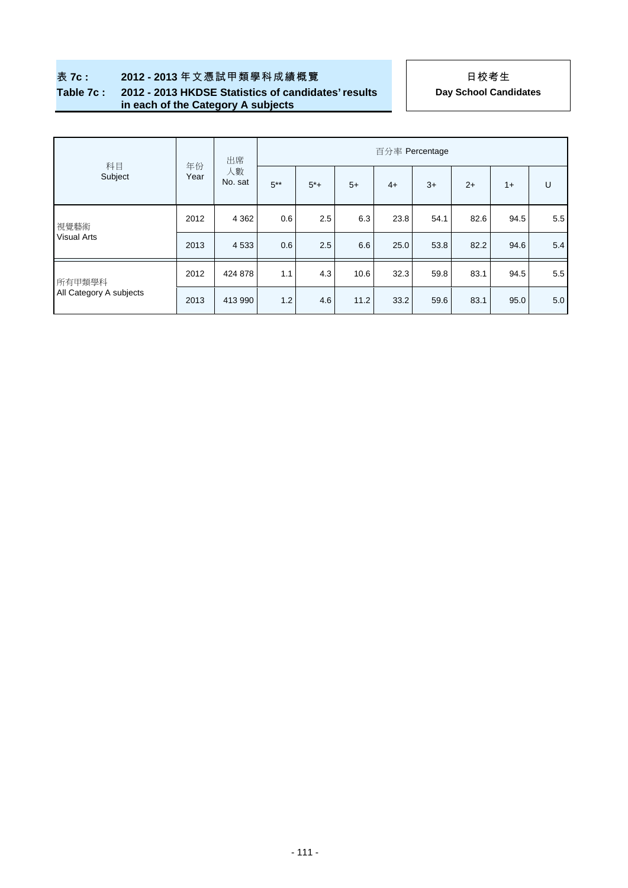### **Table 7c : 2012 - 2013 HKDSE Statistics of candidates' results in each of the Category A subjects**

| 科目                      |            | 出席            | 百分率 Percentage |       |      |      |      |      |      |     |  |  |
|-------------------------|------------|---------------|----------------|-------|------|------|------|------|------|-----|--|--|
| Subject                 | 年份<br>Year | 人數<br>No. sat | $5***$         | $5*+$ | $5+$ | $4+$ | $3+$ | $2+$ | $1+$ | U   |  |  |
| 視覺藝術                    | 2012       | 4 3 6 2       | 0.6            | 2.5   | 6.3  | 23.8 | 54.1 | 82.6 | 94.5 | 5.5 |  |  |
| <b>Visual Arts</b>      | 2013       | 4 5 3 3       | 0.6            | 2.5   | 6.6  | 25.0 | 53.8 | 82.2 | 94.6 | 5.4 |  |  |
| 所有甲類學科                  | 2012       | 424 878       | 1.1            | 4.3   | 10.6 | 32.3 | 59.8 | 83.1 | 94.5 | 5.5 |  |  |
| All Category A subjects | 2013       | 413 990       | 1.2            | 4.6   | 11.2 | 33.2 | 59.6 | 83.1 | 95.0 | 5.0 |  |  |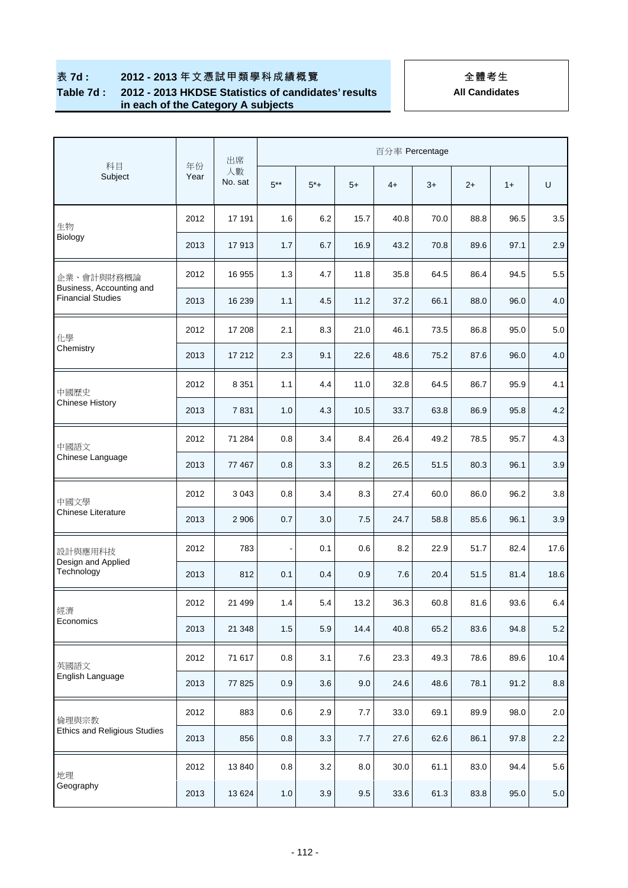### **Table 7d : 2012 - 2013 HKDSE Statistics of candidates' results in each of the Category A subjects**

|                                                      |            | 百分率 Percentage<br>出席 |                |       |         |      |      |      |      |         |
|------------------------------------------------------|------------|----------------------|----------------|-------|---------|------|------|------|------|---------|
| 科目<br>Subject                                        | 年份<br>Year | 人數<br>No. sat        | $5***$         | $5*+$ | $5+$    | $4+$ | $3+$ | $2+$ | $1+$ | U       |
| 生物                                                   | 2012       | 17 191               | 1.6            | 6.2   | 15.7    | 40.8 | 70.0 | 88.8 | 96.5 | 3.5     |
| Biology                                              | 2013       | 17913                | 1.7            | 6.7   | 16.9    | 43.2 | 70.8 | 89.6 | 97.1 | 2.9     |
| 企業、會計與財務概論                                           | 2012       | 16 955               | 1.3            | 4.7   | 11.8    | 35.8 | 64.5 | 86.4 | 94.5 | 5.5     |
| Business, Accounting and<br><b>Financial Studies</b> | 2013       | 16 239               | 1.1            | 4.5   | 11.2    | 37.2 | 66.1 | 88.0 | 96.0 | 4.0     |
| 化學                                                   | 2012       | 17 208               | 2.1            | 8.3   | 21.0    | 46.1 | 73.5 | 86.8 | 95.0 | 5.0     |
| Chemistry                                            | 2013       | 17 212               | 2.3            | 9.1   | 22.6    | 48.6 | 75.2 | 87.6 | 96.0 | 4.0     |
| 中國歷史                                                 | 2012       | 8 3 5 1              | 1.1            | 4.4   | 11.0    | 32.8 | 64.5 | 86.7 | 95.9 | 4.1     |
| <b>Chinese History</b>                               | 2013       | 7831                 | 1.0            | 4.3   | 10.5    | 33.7 | 63.8 | 86.9 | 95.8 | 4.2     |
| 中國語文                                                 | 2012       | 71 284               | 0.8            | 3.4   | 8.4     | 26.4 | 49.2 | 78.5 | 95.7 | 4.3     |
| Chinese Language                                     | 2013       | 77 467               | 0.8            | 3.3   | 8.2     | 26.5 | 51.5 | 80.3 | 96.1 | 3.9     |
| 中國文學                                                 | 2012       | 3 0 4 3              | 0.8            | 3.4   | 8.3     | 27.4 | 60.0 | 86.0 | 96.2 | 3.8     |
| <b>Chinese Literature</b>                            | 2013       | 2 9 0 6              | 0.7            | 3.0   | 7.5     | 24.7 | 58.8 | 85.6 | 96.1 | 3.9     |
| 設計與應用科技                                              | 2012       | 783                  | $\blacksquare$ | 0.1   | 0.6     | 8.2  | 22.9 | 51.7 | 82.4 | 17.6    |
| Design and Applied<br>Technology                     | 2013       | 812                  | 0.1            | 0.4   | 0.9     | 7.6  | 20.4 | 51.5 | 81.4 | 18.6    |
| 經濟                                                   | 2012       | 21 499               | 1.4            | 5.4   | 13.2    | 36.3 | 60.8 | 81.6 | 93.6 | 6.4     |
| Economics                                            | 2013       | 21 348               | 1.5            | 5.9   | 14.4    | 40.8 | 65.2 | 83.6 | 94.8 | $5.2\,$ |
| 英國語文                                                 | 2012       | 71 617               | $0.8\,$        | 3.1   | $7.6\,$ | 23.3 | 49.3 | 78.6 | 89.6 | 10.4    |
| English Language                                     | 2013       | 77 825               | 0.9            | 3.6   | 9.0     | 24.6 | 48.6 | 78.1 | 91.2 | $8.8\,$ |
| 倫理與宗教                                                | 2012       | 883                  | 0.6            | 2.9   | 7.7     | 33.0 | 69.1 | 89.9 | 98.0 | $2.0\,$ |
| <b>Ethics and Religious Studies</b>                  | 2013       | 856                  | $0.8\,$        | 3.3   | 7.7     | 27.6 | 62.6 | 86.1 | 97.8 | $2.2\,$ |
| 地理                                                   | 2012       | 13 840               | 0.8            | 3.2   | 8.0     | 30.0 | 61.1 | 83.0 | 94.4 | 5.6     |
| Geography                                            | 2013       | 13 6 24              | $1.0$          | 3.9   | $9.5\,$ | 33.6 | 61.3 | 83.8 | 95.0 | $5.0\,$ |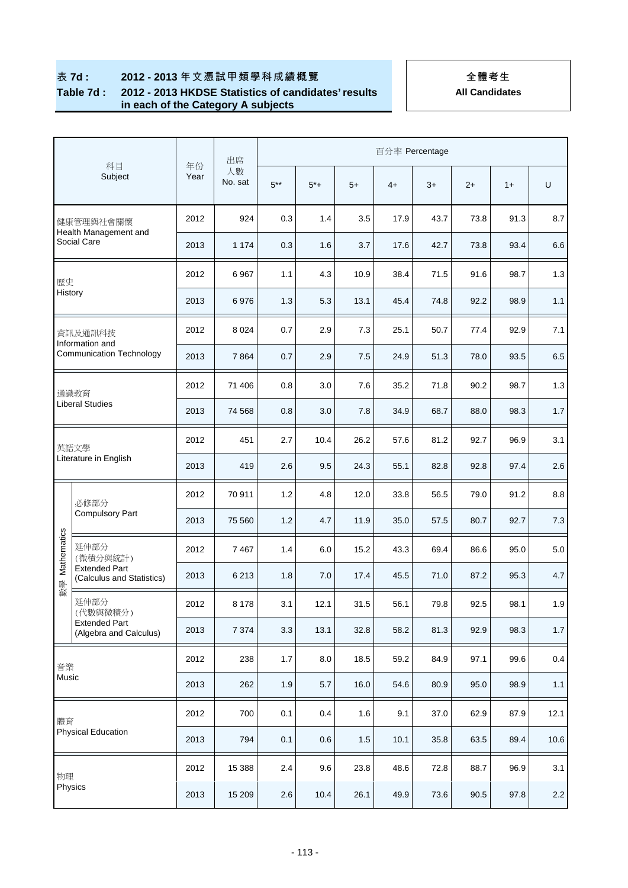### **Table 7d : 2012 - 2013 HKDSE Statistics of candidates' results in each of the Category A subjects**

|             |                                                    |            | 出席            | 百分率 Percentage |       |      |      |      |      |      |         |  |
|-------------|----------------------------------------------------|------------|---------------|----------------|-------|------|------|------|------|------|---------|--|
|             | 科目<br>Subject                                      | 年份<br>Year | 人數<br>No. sat | $5***$         | $5*+$ | $5+$ | $4+$ | $3+$ | $2+$ | $1+$ | U       |  |
|             | 健康管理與社會關懷                                          | 2012       | 924           | 0.3            | 1.4   | 3.5  | 17.9 | 43.7 | 73.8 | 91.3 | 8.7     |  |
|             | Health Management and<br>Social Care               | 2013       | 1 1 7 4       | 0.3            | 1.6   | 3.7  | 17.6 | 42.7 | 73.8 | 93.4 | 6.6     |  |
| 歷史          |                                                    | 2012       | 6967          | 1.1            | 4.3   | 10.9 | 38.4 | 71.5 | 91.6 | 98.7 | 1.3     |  |
| History     |                                                    | 2013       | 6976          | 1.3            | 5.3   | 13.1 | 45.4 | 74.8 | 92.2 | 98.9 | 1.1     |  |
|             | 資訊及通訊科技                                            | 2012       | 8 0 2 4       | 0.7            | 2.9   | 7.3  | 25.1 | 50.7 | 77.4 | 92.9 | 7.1     |  |
|             | Information and<br><b>Communication Technology</b> | 2013       | 7864          | 0.7            | 2.9   | 7.5  | 24.9 | 51.3 | 78.0 | 93.5 | 6.5     |  |
|             | 通識教育                                               | 2012       | 71 406        | 0.8            | 3.0   | 7.6  | 35.2 | 71.8 | 90.2 | 98.7 | 1.3     |  |
|             | <b>Liberal Studies</b>                             | 2013       | 74 568        | 0.8            | 3.0   | 7.8  | 34.9 | 68.7 | 88.0 | 98.3 | 1.7     |  |
|             | 英語文學                                               | 2012       | 451           | 2.7            | 10.4  | 26.2 | 57.6 | 81.2 | 92.7 | 96.9 | 3.1     |  |
|             | Literature in English                              | 2013       | 419           | 2.6            | 9.5   | 24.3 | 55.1 | 82.8 | 92.8 | 97.4 | 2.6     |  |
|             | 必修部分                                               | 2012       | 70 911        | 1.2            | 4.8   | 12.0 | 33.8 | 56.5 | 79.0 | 91.2 | 8.8     |  |
|             | <b>Compulsory Part</b>                             | 2013       | 75 560        | 1.2            | 4.7   | 11.9 | 35.0 | 57.5 | 80.7 | 92.7 | 7.3     |  |
| Mathematics | 延伸部分<br>(微積分與統計)                                   | 2012       | 7 4 6 7       | 1.4            | 6.0   | 15.2 | 43.3 | 69.4 | 86.6 | 95.0 | 5.0     |  |
| 數學          | <b>Extended Part</b><br>(Calculus and Statistics)  | 2013       | 6 2 1 3       | 1.8            | 7.0   | 17.4 | 45.5 | 71.0 | 87.2 | 95.3 | 4.7     |  |
|             | 延伸部分<br>(代數與微積分)                                   | 2012       | 8 1 7 8       | 3.1            | 12.1  | 31.5 | 56.1 | 79.8 | 92.5 | 98.1 | 1.9     |  |
|             | <b>Extended Part</b><br>(Algebra and Calculus)     | 2013       | 7 3 7 4       | 3.3            | 13.1  | 32.8 | 58.2 | 81.3 | 92.9 | 98.3 | 1.7     |  |
| 音樂          |                                                    | 2012       | 238           | $1.7$          | 8.0   | 18.5 | 59.2 | 84.9 | 97.1 | 99.6 | 0.4     |  |
| Music       |                                                    | 2013       | 262           | 1.9            | 5.7   | 16.0 | 54.6 | 80.9 | 95.0 | 98.9 | 1.1     |  |
| 體育          |                                                    | 2012       | 700           | 0.1            | 0.4   | 1.6  | 9.1  | 37.0 | 62.9 | 87.9 | 12.1    |  |
|             | <b>Physical Education</b>                          | 2013       | 794           | 0.1            | 0.6   | 1.5  | 10.1 | 35.8 | 63.5 | 89.4 | 10.6    |  |
| 物理          |                                                    | 2012       | 15 388        | 2.4            | 9.6   | 23.8 | 48.6 | 72.8 | 88.7 | 96.9 | 3.1     |  |
|             | Physics                                            | 2013       | 15 209        | $2.6\,$        | 10.4  | 26.1 | 49.9 | 73.6 | 90.5 | 97.8 | $2.2\,$ |  |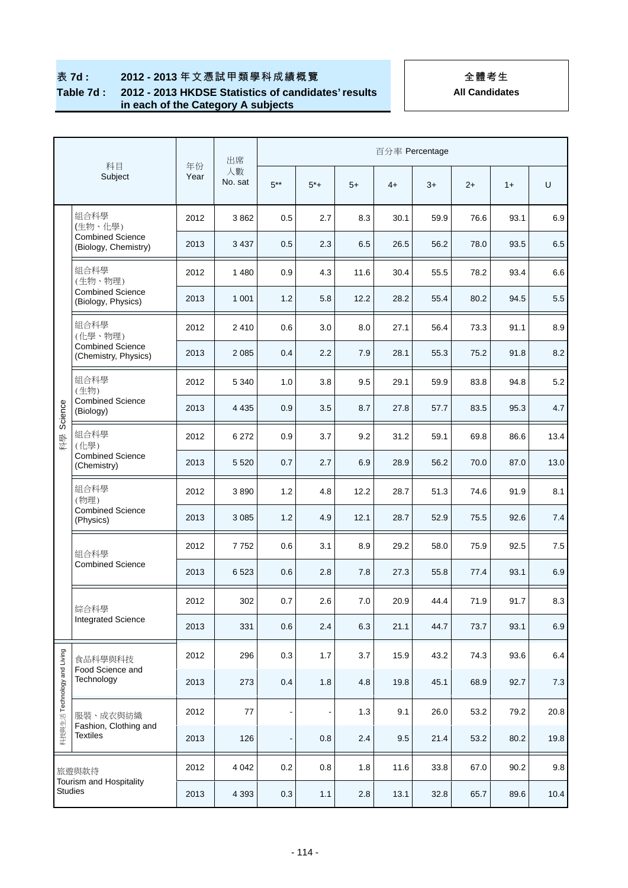#### **Table 7d : 2012 - 2013 HKDSE Statistics of candidates' results in each of the Category A subjects**

|                             | 科目                                              | 年份   | 出席            | 百分率 Percentage               |                |      |      |      |      |      |         |  |
|-----------------------------|-------------------------------------------------|------|---------------|------------------------------|----------------|------|------|------|------|------|---------|--|
|                             | Subject                                         | Year | 人數<br>No. sat | $5***$                       | $5^*+$         | $5+$ | $4+$ | $3+$ | $2+$ | $1+$ | U       |  |
|                             | 組合科學<br>(生物、化學)                                 | 2012 | 3862          | 0.5                          | 2.7            | 8.3  | 30.1 | 59.9 | 76.6 | 93.1 | 6.9     |  |
|                             | <b>Combined Science</b><br>(Biology, Chemistry) | 2013 | 3 4 3 7       | 0.5                          | 2.3            | 6.5  | 26.5 | 56.2 | 78.0 | 93.5 | 6.5     |  |
|                             | 組合科學<br>(生物、物理)                                 | 2012 | 1 4 8 0       | 0.9                          | 4.3            | 11.6 | 30.4 | 55.5 | 78.2 | 93.4 | 6.6     |  |
|                             | <b>Combined Science</b><br>(Biology, Physics)   | 2013 | 1 0 0 1       | 1.2                          | 5.8            | 12.2 | 28.2 | 55.4 | 80.2 | 94.5 | 5.5     |  |
|                             | 組合科學<br>(化學、物理)                                 | 2012 | 2410          | 0.6                          | 3.0            | 8.0  | 27.1 | 56.4 | 73.3 | 91.1 | 8.9     |  |
|                             | <b>Combined Science</b><br>(Chemistry, Physics) | 2013 | 2 0 8 5       | 0.4                          | 2.2            | 7.9  | 28.1 | 55.3 | 75.2 | 91.8 | 8.2     |  |
|                             | 組合科學<br>(生物)                                    | 2012 | 5 3 4 0       | 1.0                          | 3.8            | 9.5  | 29.1 | 59.9 | 83.8 | 94.8 | 5.2     |  |
| Science                     | <b>Combined Science</b><br>(Biology)            | 2013 | 4 4 3 5       | 0.9                          | 3.5            | 8.7  | 27.8 | 57.7 | 83.5 | 95.3 | 4.7     |  |
| 科學                          | 組合科學<br>(化學)                                    | 2012 | 6 27 2        | 0.9                          | 3.7            | 9.2  | 31.2 | 59.1 | 69.8 | 86.6 | 13.4    |  |
|                             | <b>Combined Science</b><br>(Chemistry)          | 2013 | 5 5 20        | 0.7                          | 2.7            | 6.9  | 28.9 | 56.2 | 70.0 | 87.0 | 13.0    |  |
|                             | 組合科學<br>(物理)                                    | 2012 | 3890          | 1.2                          | 4.8            | 12.2 | 28.7 | 51.3 | 74.6 | 91.9 | 8.1     |  |
|                             | <b>Combined Science</b><br>(Physics)            | 2013 | 3 0 8 5       | 1.2                          | 4.9            | 12.1 | 28.7 | 52.9 | 75.5 | 92.6 | 7.4     |  |
|                             | 組合科學                                            | 2012 | 7752          | 0.6                          | 3.1            | 8.9  | 29.2 | 58.0 | 75.9 | 92.5 | $7.5\,$ |  |
|                             | <b>Combined Science</b>                         | 2013 | 6 5 23        | 0.6                          | 2.8            | 7.8  | 27.3 | 55.8 | 77.4 | 93.1 | 6.9     |  |
|                             | 綜合科學                                            | 2012 | 302           | 0.7                          | 2.6            | 7.0  | 20.9 | 44.4 | 71.9 | 91.7 | 8.3     |  |
|                             | <b>Integrated Science</b>                       | 2013 | 331           | 0.6                          | 2.4            | 6.3  | 21.1 | 44.7 | 73.7 | 93.1 | 6.9     |  |
|                             | 食品科學與科技                                         | 2012 | 296           | 0.3                          | 1.7            | 3.7  | 15.9 | 43.2 | 74.3 | 93.6 | 6.4     |  |
| 科技與生活 Technology and Living | Food Science and<br>Technology                  | 2013 | 273           | 0.4                          | 1.8            | 4.8  | 19.8 | 45.1 | 68.9 | 92.7 | 7.3     |  |
|                             | 服裝、成衣與紡織                                        | 2012 | 77            | $\overline{\phantom{m}}$     | $\overline{a}$ | 1.3  | 9.1  | 26.0 | 53.2 | 79.2 | 20.8    |  |
|                             | Fashion, Clothing and<br><b>Textiles</b>        | 2013 | 126           | $\qquad \qquad \blacksquare$ | 0.8            | 2.4  | 9.5  | 21.4 | 53.2 | 80.2 | 19.8    |  |
|                             | 旅遊與款待                                           | 2012 | 4 0 4 2       | 0.2                          | 0.8            | 1.8  | 11.6 | 33.8 | 67.0 | 90.2 | 9.8     |  |
|                             | Tourism and Hospitality<br><b>Studies</b>       | 2013 | 4 3 9 3       | $0.3\,$                      | 1.1            | 2.8  | 13.1 | 32.8 | 65.7 | 89.6 | 10.4    |  |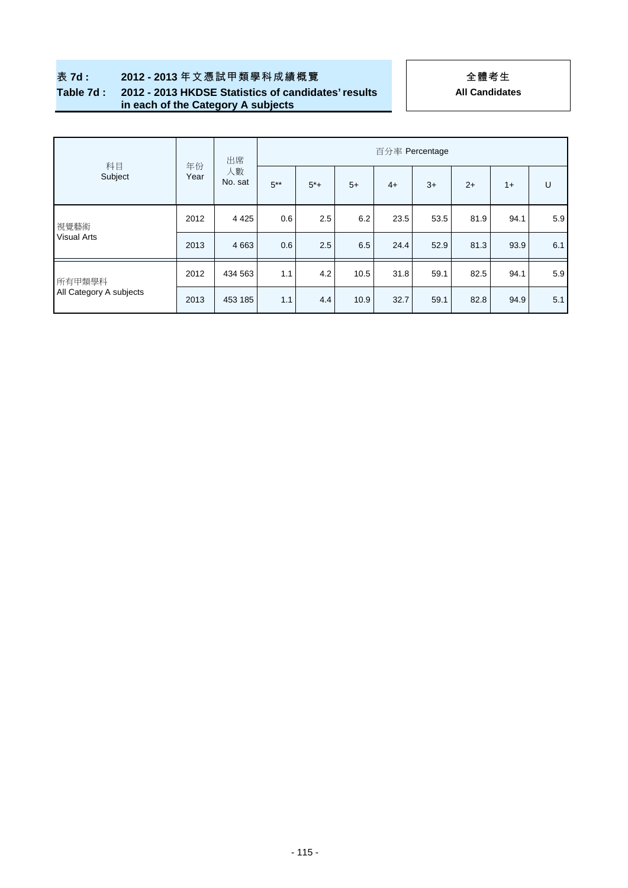# **All Candidates**

### **Table 7d : 2012 - 2013 HKDSE Statistics of candidates' results in each of the Category A subjects**

|                         |            | 出席            | 百分率 Percentage |       |      |      |      |      |      |     |  |  |  |
|-------------------------|------------|---------------|----------------|-------|------|------|------|------|------|-----|--|--|--|
| 科目<br>Subject           | 年份<br>Year | 人數<br>No. sat | $5***$         | $5*+$ | $5+$ | $4+$ | $3+$ | $2+$ | $1+$ | U   |  |  |  |
| 視覺藝術                    | 2012       | 4 4 2 5       | 0.6            | 2.5   | 6.2  | 23.5 | 53.5 | 81.9 | 94.1 | 5.9 |  |  |  |
| Visual Arts             | 2013       | 4 6 63        | 0.6            | 2.5   | 6.5  | 24.4 | 52.9 | 81.3 | 93.9 | 6.1 |  |  |  |
| 所有甲類學科                  | 2012       | 434 563       | 1.1            | 4.2   | 10.5 | 31.8 | 59.1 | 82.5 | 94.1 | 5.9 |  |  |  |
| All Category A subjects | 2013       | 453 185       | 1.1            | 4.4   | 10.9 | 32.7 | 59.1 | 82.8 | 94.9 | 5.1 |  |  |  |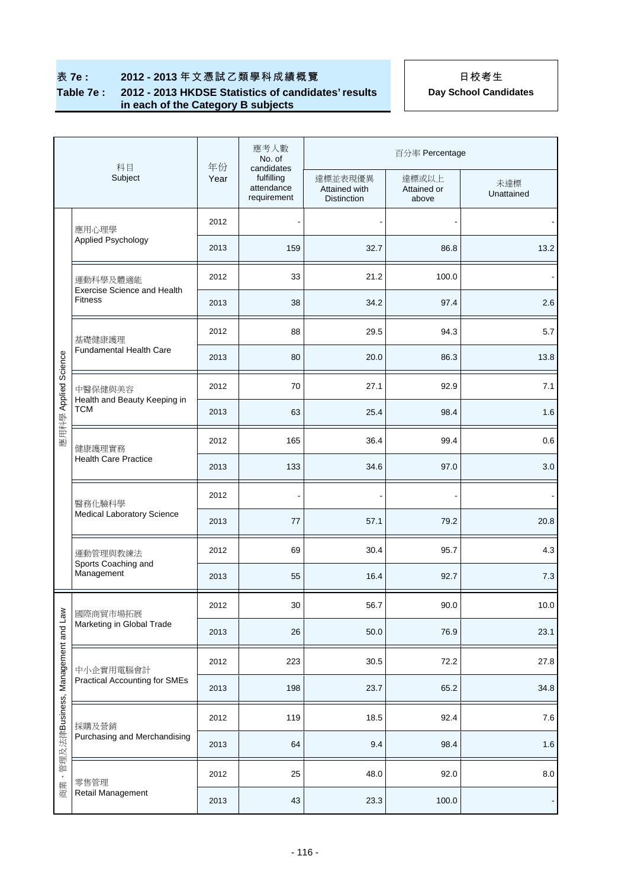## **表 7e : 2012 - 2013**年文憑試乙類學科成績概覽 インスポープ 日校考生

### **Table 7e : 2012 - 2013 HKDSE Statistics of candidates' results in each of the Category B subjects**

|                          | 科目                                                   |            | 應考人數<br>No. of                                        | 百分率 Percentage                                 |                               |                   |  |  |  |
|--------------------------|------------------------------------------------------|------------|-------------------------------------------------------|------------------------------------------------|-------------------------------|-------------------|--|--|--|
|                          | Subject                                              | 年份<br>Year | candidates<br>fulfilling<br>attendance<br>requirement | 達標並表現優異<br>Attained with<br><b>Distinction</b> | 達標或以上<br>Attained or<br>above | 未達標<br>Unattained |  |  |  |
|                          | 應用心理學                                                | 2012       |                                                       |                                                |                               |                   |  |  |  |
|                          | Applied Psychology                                   | 2013       | 159                                                   | 32.7                                           | 86.8                          | 13.2              |  |  |  |
|                          | 運動科學及體適能                                             | 2012       | 33                                                    | 21.2                                           | 100.0                         |                   |  |  |  |
|                          | <b>Exercise Science and Health</b><br><b>Fitness</b> | 2013       | 38                                                    | 34.2                                           | 97.4                          | 2.6               |  |  |  |
|                          | 基礎健康護理                                               | 2012       | 88                                                    | 29.5                                           | 94.3                          | 5.7               |  |  |  |
|                          | <b>Fundamental Health Care</b>                       | 2013       | 80                                                    | 20.0                                           | 86.3                          | 13.8              |  |  |  |
| 應用科學 Applied Science     | 中醫保健與美容                                              | 2012       | 70                                                    | 27.1                                           | 92.9                          | 7.1               |  |  |  |
|                          | Health and Beauty Keeping in<br>TCM                  | 2013       | 63                                                    | 25.4                                           | 98.4                          | 1.6               |  |  |  |
|                          | 健康護理實務                                               | 2012       | 165                                                   | 36.4                                           | 99.4                          | 0.6               |  |  |  |
|                          | <b>Health Care Practice</b>                          | 2013       | 133                                                   | 34.6                                           | 97.0                          | 3.0               |  |  |  |
|                          | 醫務化驗科學                                               | 2012       | $\blacksquare$                                        | $\blacksquare$                                 |                               |                   |  |  |  |
|                          | <b>Medical Laboratory Science</b>                    | 2013       | 77                                                    | 57.1                                           | 79.2                          | 20.8              |  |  |  |
|                          | 運動管理與教練法<br>Sports Coaching and                      | 2012       | 69                                                    | 30.4                                           | 95.7                          | 4.3               |  |  |  |
|                          | Management                                           | 2013       | 55                                                    | 16.4                                           | 92.7                          | 7.3               |  |  |  |
| $\geq$                   | 國際商貿市場拓展                                             | 2012       | 30                                                    | 56.7                                           | 90.0                          | 10.0              |  |  |  |
| Management and Lay       | Marketing in Global Trade                            | 2013       | 26                                                    | 50.0                                           | 76.9                          | 23.1              |  |  |  |
|                          | 中小企實用電腦會計                                            | 2012       | 223                                                   | 30.5                                           | 72.2                          | 27.8              |  |  |  |
|                          | <b>Practical Accounting for SMEs</b>                 | 2013       | 198                                                   | 23.7                                           | 65.2                          | 34.8              |  |  |  |
|                          | 採購及營銷                                                | 2012       | 119                                                   | 18.5                                           | 92.4                          | $7.6$             |  |  |  |
| 管理及法律Business,           | Purchasing and Merchandising                         | 2013       | 64                                                    | 9.4                                            | 98.4                          | 1.6               |  |  |  |
| $\overline{\phantom{a}}$ | 零售管理                                                 | 2012       | 25                                                    | 48.0                                           | 92.0                          | $8.0\,$           |  |  |  |
| 商業                       | Retail Management                                    | 2013       | 43                                                    | 23.3                                           | 100.0                         |                   |  |  |  |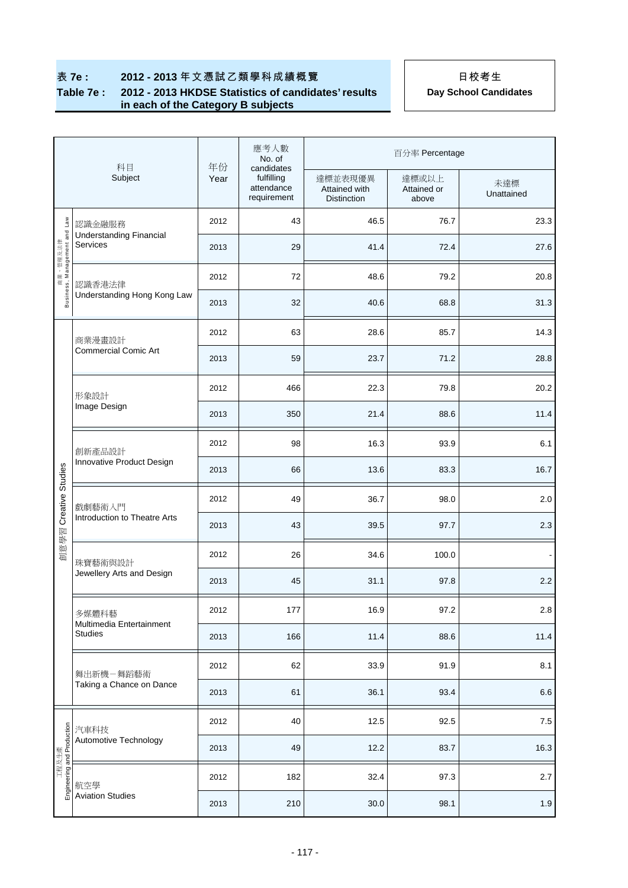### **表 7e : 2012 - 2013**年文憑試乙類學科成績概覽 日本著生

### **Table 7e : 2012 - 2013 HKDSE Statistics of candidates' results in each of the Category B subjects**

|                                          | 科目                                                | 年份   | 應考人數<br>No. of                                        |                                                | 百分率 Percentage                |                   |
|------------------------------------------|---------------------------------------------------|------|-------------------------------------------------------|------------------------------------------------|-------------------------------|-------------------|
|                                          | Subject                                           | Year | candidates<br>fulfilling<br>attendance<br>requirement | 達標並表現優異<br>Attained with<br><b>Distinction</b> | 達標或以上<br>Attained or<br>above | 未達標<br>Unattained |
|                                          | 認識金融服務                                            | 2012 | 43                                                    | 46.5                                           | 76.7                          | 23.3              |
|                                          | <b>Understanding Financial</b><br><b>Services</b> | 2013 | 29                                                    | 41.4                                           | 72.4                          | 27.6              |
| Business, Management and Law<br>商業、管理及法律 | 認識香港法律                                            | 2012 | 72                                                    | 48.6                                           | 79.2                          | 20.8              |
|                                          | Understanding Hong Kong Law                       | 2013 | 32                                                    | 40.6                                           | 68.8                          | 31.3              |
|                                          | 商業漫畫設計                                            | 2012 | 63                                                    | 28.6                                           | 85.7                          | 14.3              |
|                                          | <b>Commercial Comic Art</b>                       | 2013 | 59                                                    | 23.7                                           | 71.2                          | 28.8              |
|                                          | 形象設計                                              | 2012 | 466                                                   | 22.3                                           | 79.8                          | 20.2              |
|                                          | Image Design                                      | 2013 | 350                                                   | 21.4                                           | 88.6                          | 11.4              |
|                                          | 創新產品設計                                            | 2012 | 98                                                    | 16.3                                           | 93.9                          | 6.1               |
|                                          | Innovative Product Design                         | 2013 | 66                                                    | 13.6                                           | 83.3                          | 16.7              |
| Creative Studies                         |                                                   | 2012 | 49                                                    | 36.7                                           | 98.0                          | 2.0               |
|                                          | 戲劇藝術入門<br>Introduction to Theatre Arts            | 2013 | 43                                                    | 39.5                                           | 97.7                          | 2.3               |
| 創意學習                                     | 珠寶藝術與設計                                           | 2012 | 26                                                    | 34.6                                           | 100.0                         |                   |
|                                          | Jewellery Arts and Design                         | 2013 | 45                                                    | 31.1                                           | 97.8                          | 2.2               |
|                                          | 多媒體科藝                                             | 2012 | 177                                                   | 16.9                                           | 97.2                          | $2.8\,$           |
|                                          | Multimedia Entertainment<br><b>Studies</b>        | 2013 | 166                                                   | 11.4                                           | 88.6                          | 11.4              |
|                                          | 舞出新機一舞蹈藝術                                         | 2012 | 62                                                    | 33.9                                           | 91.9                          | 8.1               |
|                                          | Taking a Chance on Dance                          | 2013 | 61                                                    | 36.1                                           | 93.4                          | 6.6               |
|                                          | 汽車科技                                              | 2012 | 40                                                    | 12.5                                           | 92.5                          | $7.5\,$           |
|                                          | Automotive Technology                             | 2013 | 49                                                    | 12.2                                           | 83.7                          | 16.3              |
| エ程及生產<br>Engineering and Production      | 航空學                                               | 2012 | 182                                                   | 32.4                                           | 97.3                          | 2.7               |
|                                          | <b>Aviation Studies</b>                           | 2013 | 210                                                   | 30.0                                           | 98.1                          | 1.9               |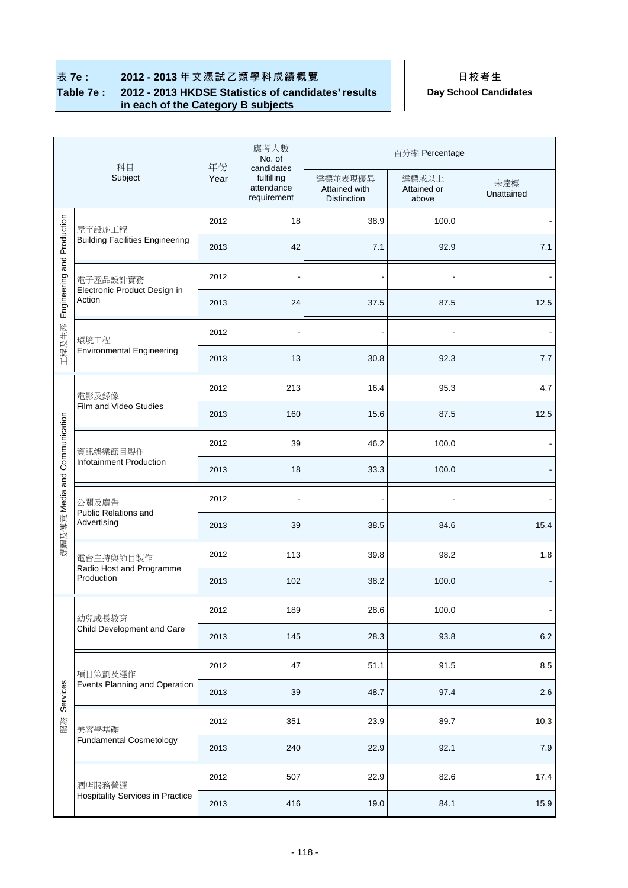### **Table 7e : 2012 - 2013 HKDSE Statistics of candidates' results in each of the Category B subjects**

| 科目<br>Subject                       |                                                     | 年份   | 應考人數<br>No. of<br>candidates            | 百分率 Percentage                                 |                               |                   |  |  |
|-------------------------------------|-----------------------------------------------------|------|-----------------------------------------|------------------------------------------------|-------------------------------|-------------------|--|--|
|                                     |                                                     | Year | fulfilling<br>attendance<br>requirement | 達標並表現優異<br>Attained with<br><b>Distinction</b> | 達標或以上<br>Attained or<br>above | 未達標<br>Unattained |  |  |
|                                     | 屋宇設施工程                                              | 2012 | 18                                      | 38.9                                           | 100.0                         |                   |  |  |
| Engineering and Production<br>工程及生產 | <b>Building Facilities Engineering</b>              | 2013 | 42                                      | 7.1                                            | 92.9                          | 7.1               |  |  |
|                                     | 電子產品設計實務                                            | 2012 |                                         |                                                |                               |                   |  |  |
|                                     | Electronic Product Design in<br>Action              | 2013 | 24                                      | 37.5                                           | 87.5                          | 12.5              |  |  |
|                                     | 環境工程                                                | 2012 |                                         |                                                |                               |                   |  |  |
|                                     | <b>Environmental Engineering</b>                    | 2013 | 13                                      | 30.8                                           | 92.3                          | 7.7               |  |  |
|                                     | 電影及錄像                                               | 2012 | 213                                     | 16.4                                           | 95.3                          | 4.7               |  |  |
|                                     | Film and Video Studies                              | 2013 | 160                                     | 15.6                                           | 87.5                          | 12.5              |  |  |
|                                     | 資訊娛樂節目製作<br>Infotainment Production                 | 2012 | 39                                      | 46.2                                           | 100.0                         |                   |  |  |
| 媒體及傳意 Media and Communication       |                                                     | 2013 | 18                                      | 33.3                                           | 100.0                         |                   |  |  |
|                                     | 公關及廣告<br>Public Relations and<br>Advertising        | 2012 |                                         |                                                |                               |                   |  |  |
|                                     |                                                     | 2013 | 39                                      | 38.5                                           | 84.6                          | 15.4              |  |  |
|                                     | 電台主持與節目製作<br>Radio Host and Programme<br>Production | 2012 | 113                                     | 39.8                                           | 98.2                          | 1.8               |  |  |
|                                     |                                                     | 2013 | 102                                     | 38.2                                           | 100.0                         |                   |  |  |
|                                     | 幼兒成長教育                                              | 2012 | 189                                     | 28.6                                           | 100.0                         |                   |  |  |
|                                     | Child Development and Care                          | 2013 | 145                                     | 28.3                                           | 93.8                          | $6.2\,$           |  |  |
|                                     | 項目策劃及運作                                             | 2012 | 47                                      | 51.1                                           | 91.5                          | 8.5               |  |  |
| Services                            | Events Planning and Operation                       | 2013 | 39                                      | 48.7                                           | 97.4                          | 2.6               |  |  |
| 服務                                  | 美容學基礎                                               | 2012 | 351                                     | 23.9                                           | 89.7                          | 10.3              |  |  |
|                                     | <b>Fundamental Cosmetology</b>                      | 2013 | 240                                     | 22.9                                           | 92.1                          | $7.9$             |  |  |
|                                     | 酒店服務營運                                              | 2012 | 507                                     | 22.9                                           | 82.6                          | 17.4              |  |  |
|                                     | <b>Hospitality Services in Practice</b>             | 2013 | 416                                     | 19.0                                           | 84.1                          | 15.9              |  |  |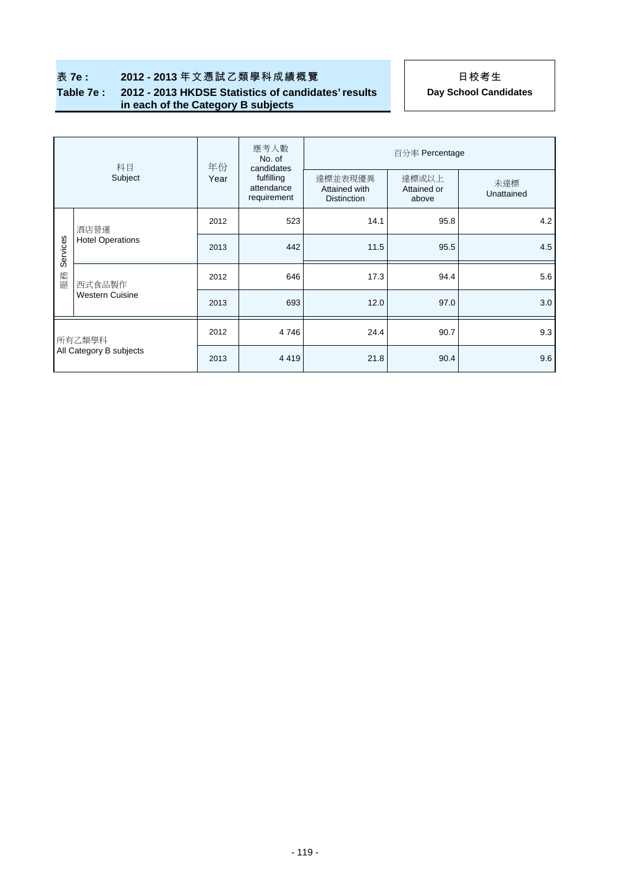# 表 **7e : 2012 - 2013** 年文憑試乙類學科成績概覽 日本著生

### **Table 7e : 2012 - 2013 HKDSE Statistics of candidates' results in each of the Category B subjects**

| 科目<br>Subject                     |                                  | 年份   | 應考人數<br>No. of<br>candidates            | 百分率 Percentage                                 |                               |                   |  |  |
|-----------------------------------|----------------------------------|------|-----------------------------------------|------------------------------------------------|-------------------------------|-------------------|--|--|
|                                   |                                  | Year | fulfilling<br>attendance<br>requirement | 達標並表現優異<br>Attained with<br><b>Distinction</b> | 達標或以上<br>Attained or<br>above | 未達標<br>Unattained |  |  |
|                                   | 酒店營運<br><b>Hotel Operations</b>  | 2012 | 523                                     | 14.1                                           | 95.8                          | 4.2               |  |  |
| Services                          |                                  | 2013 | 442                                     | 11.5                                           | 95.5                          | 4.5               |  |  |
| 服務                                | 西式食品製作<br><b>Western Cuisine</b> | 2012 | 646                                     | 17.3                                           | 94.4                          | 5.6               |  |  |
|                                   |                                  | 2013 | 693                                     | 12.0                                           | 97.0                          | 3.0               |  |  |
| 所有乙類學科<br>All Category B subjects |                                  | 2012 | 4746                                    | 24.4                                           | 90.7                          | 9.3               |  |  |
|                                   |                                  | 2013 | 4419                                    | 21.8                                           | 90.4                          | 9.6               |  |  |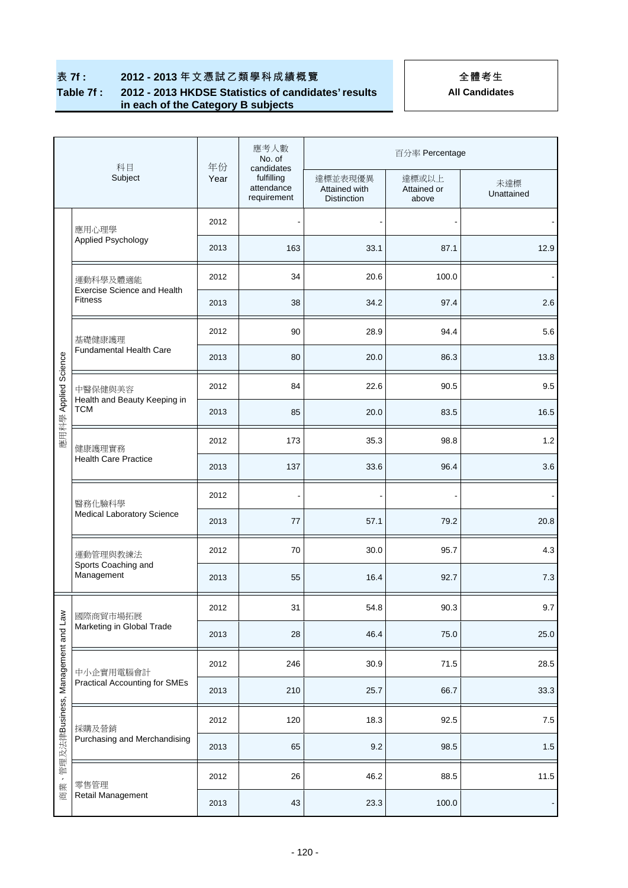### **Table 7f : 2012 - 2013 HKDSE Statistics of candidates' results in each of the Category B subjects**

| 科目<br>Subject                     |                                                | 年份   | 應考人數<br>No. of<br>candidates            | 百分率 Percentage                                 |                               |                   |  |  |
|-----------------------------------|------------------------------------------------|------|-----------------------------------------|------------------------------------------------|-------------------------------|-------------------|--|--|
|                                   |                                                | Year | fulfilling<br>attendance<br>requirement | 達標並表現優異<br>Attained with<br><b>Distinction</b> | 達標或以上<br>Attained or<br>above | 未達標<br>Unattained |  |  |
|                                   | 應用心理學                                          | 2012 |                                         |                                                |                               |                   |  |  |
|                                   | Applied Psychology                             | 2013 | 163                                     | 33.1                                           | 87.1                          | 12.9              |  |  |
|                                   | 運動科學及體適能<br><b>Exercise Science and Health</b> | 2012 | 34                                      | 20.6                                           | 100.0                         |                   |  |  |
|                                   | <b>Fitness</b>                                 | 2013 | 38                                      | 34.2                                           | 97.4                          | 2.6               |  |  |
|                                   | 基礎健康護理                                         | 2012 | 90                                      | 28.9                                           | 94.4                          | 5.6               |  |  |
|                                   | Fundamental Health Care                        | 2013 | 80                                      | 20.0                                           | 86.3                          | 13.8              |  |  |
|                                   | 中醫保健與美容<br>Health and Beauty Keeping in        | 2012 | 84                                      | 22.6                                           | 90.5                          | 9.5               |  |  |
| 應用科學 Applied Science              | <b>TCM</b>                                     | 2013 | 85                                      | 20.0                                           | 83.5                          | 16.5              |  |  |
|                                   | 健康護理實務<br><b>Health Care Practice</b>          | 2012 | 173                                     | 35.3                                           | 98.8                          | 1.2               |  |  |
|                                   |                                                | 2013 | 137                                     | 33.6                                           | 96.4                          | 3.6               |  |  |
|                                   | 醫務化驗科學<br><b>Medical Laboratory Science</b>    | 2012 |                                         |                                                |                               |                   |  |  |
|                                   |                                                | 2013 | 77                                      | 57.1                                           | 79.2                          | 20.8              |  |  |
|                                   | 運動管理與教練法                                       | 2012 | 70                                      | 30.0                                           | 95.7                          | 4.3               |  |  |
|                                   | Sports Coaching and<br>Management              | 2013 | 55                                      | 16.4                                           | 92.7                          | 7.3               |  |  |
|                                   | 國際商貿市場拓展                                       | 2012 | 31                                      | 54.8                                           | 90.3                          | 9.7               |  |  |
|                                   | Marketing in Global Trade                      | 2013 | 28                                      | 46.4                                           | 75.0                          | 25.0              |  |  |
|                                   | 中小企實用電腦會計                                      | 2012 | 246                                     | 30.9                                           | 71.5                          | 28.5              |  |  |
|                                   | <b>Practical Accounting for SMEs</b>           | 2013 | 210                                     | 25.7                                           | 66.7                          | 33.3              |  |  |
|                                   | 採購及營銷                                          | 2012 | 120                                     | 18.3                                           | 92.5                          | $7.5\,$           |  |  |
| 管理及法律Business, Management and Lav | Purchasing and Merchandising                   | 2013 | 65                                      | 9.2                                            | 98.5                          | $1.5$             |  |  |
| $\pmb{\cdot}$                     | 零售管理                                           | 2012 | 26                                      | 46.2                                           | 88.5                          | 11.5              |  |  |
| 商業                                | Retail Management                              | 2013 | 43                                      | 23.3                                           | 100.0                         |                   |  |  |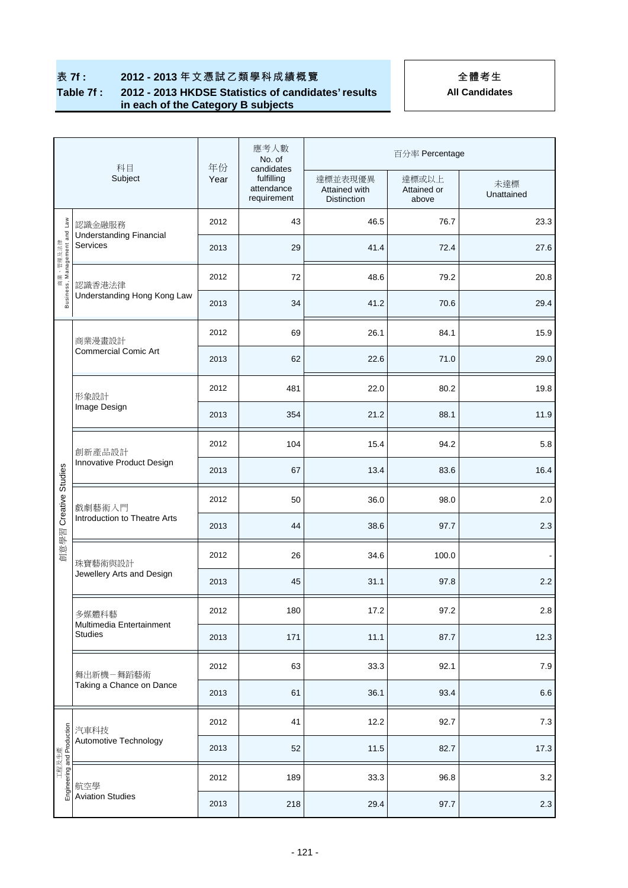### **表 7f : 2012 - 2013** 年文憑試乙類學科成績概覽 2014 - 全體考生

### **Table 7f : 2012 - 2013 HKDSE Statistics of candidates' results in each of the Category B subjects**

| 科目                                   |                                            | 年份   | 應考人數<br>No. of<br>candidates            | 百分率 Percentage                                 |                               |                   |  |  |
|--------------------------------------|--------------------------------------------|------|-----------------------------------------|------------------------------------------------|-------------------------------|-------------------|--|--|
|                                      | Subject                                    | Year | fulfilling<br>attendance<br>requirement | 達標並表現優異<br>Attained with<br><b>Distinction</b> | 達標或以上<br>Attained or<br>above | 未達標<br>Unattained |  |  |
| Law                                  | 認識金融服務                                     | 2012 | 43                                      | 46.5                                           | 76.7                          | 23.3              |  |  |
| 商業、管理及法律<br>Business, Management and | <b>Understanding Financial</b><br>Services | 2013 | 29                                      | 41.4                                           | 72.4                          | 27.6              |  |  |
|                                      | 認識香港法律                                     | 2012 | 72                                      | 48.6                                           | 79.2                          | 20.8              |  |  |
|                                      | Understanding Hong Kong Law                | 2013 | 34                                      | 41.2                                           | 70.6                          | 29.4              |  |  |
|                                      | 商業漫畫設計                                     | 2012 | 69                                      | 26.1                                           | 84.1                          | 15.9              |  |  |
|                                      | <b>Commercial Comic Art</b>                | 2013 | 62                                      | 22.6                                           | 71.0                          | 29.0              |  |  |
|                                      | 形象設計                                       | 2012 | 481                                     | 22.0                                           | 80.2                          | 19.8              |  |  |
|                                      | Image Design                               | 2013 | 354                                     | 21.2                                           | 88.1                          | 11.9              |  |  |
|                                      | 創新產品設計<br>Innovative Product Design        | 2012 | 104                                     | 15.4                                           | 94.2                          | 5.8               |  |  |
|                                      |                                            | 2013 | 67                                      | 13.4                                           | 83.6                          | 16.4              |  |  |
| Creative Studies                     | 戲劇藝術入門<br>Introduction to Theatre Arts     | 2012 | 50                                      | 36.0                                           | 98.0                          | 2.0               |  |  |
|                                      |                                            | 2013 | 44                                      | 38.6                                           | 97.7                          | 2.3               |  |  |
| 創意學習                                 | 珠寶藝術與設計                                    | 2012 | 26                                      | 34.6                                           | 100.0                         |                   |  |  |
|                                      | Jewellery Arts and Design                  | 2013 | 45                                      | 31.1                                           | 97.8                          | 2.2               |  |  |
|                                      | 多媒體科藝                                      | 2012 | 180                                     | 17.2                                           | 97.2                          | 2.8               |  |  |
|                                      | Multimedia Entertainment<br><b>Studies</b> | 2013 | 171                                     | 11.1                                           | 87.7                          | 12.3              |  |  |
|                                      | 舞出新機一舞蹈藝術                                  | 2012 | 63                                      | 33.3                                           | 92.1                          | $7.9$             |  |  |
|                                      | Taking a Chance on Dance                   | 2013 | 61                                      | 36.1                                           | 93.4                          | $6.6\,$           |  |  |
|                                      | 汽車科技                                       | 2012 | 41                                      | 12.2                                           | 92.7                          | 7.3               |  |  |
| 工程及生產<br>Engineering and Production  | Automotive Technology                      | 2013 | 52                                      | 11.5                                           | 82.7                          | 17.3              |  |  |
|                                      | 航空學                                        | 2012 | 189                                     | 33.3                                           | 96.8                          | $3.2\,$           |  |  |
|                                      | <b>Aviation Studies</b>                    | 2013 | 218                                     | 29.4                                           | 97.7                          | $2.3\,$           |  |  |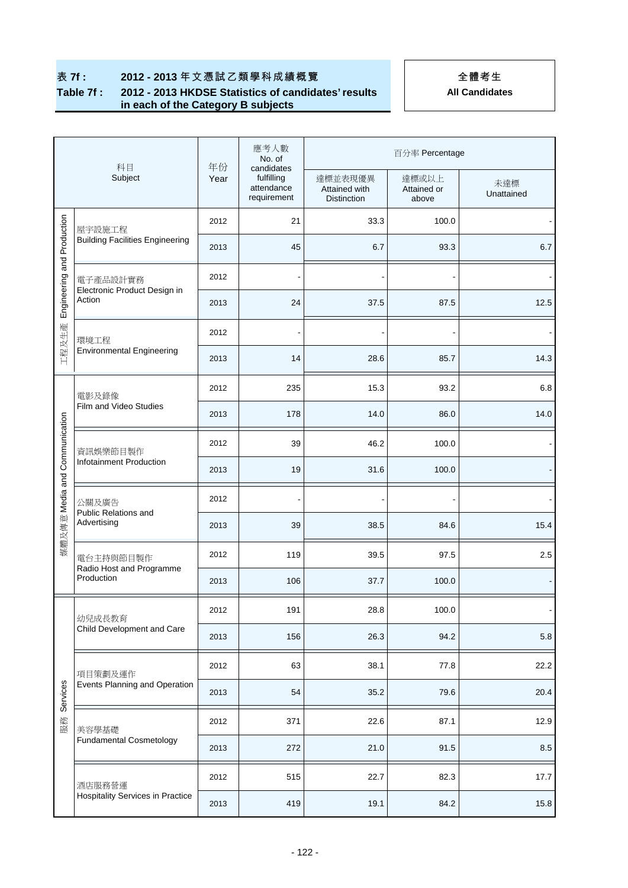### **表 7f : 2012 - 2013** 年文憑試乙類學科成績概覽 (1)

### **Table 7f : 2012 - 2013 HKDSE Statistics of candidates' results in each of the Category B subjects**

| 科目                                     |                                                     | 年份   | 應考人數<br>No. of<br>candidates            | 百分率 Percentage                          |                               |                   |  |  |
|----------------------------------------|-----------------------------------------------------|------|-----------------------------------------|-----------------------------------------|-------------------------------|-------------------|--|--|
|                                        | Subject                                             | Year | fulfilling<br>attendance<br>requirement | 達標並表現優異<br>Attained with<br>Distinction | 達標或以上<br>Attained or<br>above | 未達標<br>Unattained |  |  |
|                                        | 屋宇設施工程                                              | 2012 | 21                                      | 33.3                                    | 100.0                         |                   |  |  |
| and Production<br>Engineering<br>工程及生產 | <b>Building Facilities Engineering</b>              | 2013 | 45                                      | 6.7                                     | 93.3                          | 6.7               |  |  |
|                                        | 電子產品設計實務                                            | 2012 |                                         |                                         |                               |                   |  |  |
|                                        | Electronic Product Design in<br>Action              | 2013 | 24                                      | 37.5                                    | 87.5                          | 12.5              |  |  |
|                                        | 環境工程                                                | 2012 | $\overline{\phantom{a}}$                | $\overline{a}$                          | $\overline{\phantom{a}}$      |                   |  |  |
|                                        | <b>Environmental Engineering</b>                    | 2013 | 14                                      | 28.6                                    | 85.7                          | 14.3              |  |  |
|                                        | 電影及錄像                                               | 2012 | 235                                     | 15.3                                    | 93.2                          | 6.8               |  |  |
|                                        | Film and Video Studies                              | 2013 | 178                                     | 14.0                                    | 86.0                          | 14.0              |  |  |
| Communication                          | 資訊娛樂節目製作<br>Infotainment Production                 | 2012 | 39                                      | 46.2                                    | 100.0                         |                   |  |  |
| 煤體及傳意 Media and                        |                                                     | 2013 | 19                                      | 31.6                                    | 100.0                         |                   |  |  |
|                                        | 公關及廣告<br>Public Relations and<br>Advertising        | 2012 |                                         |                                         |                               |                   |  |  |
|                                        |                                                     | 2013 | 39                                      | 38.5                                    | 84.6                          | 15.4              |  |  |
|                                        | 電台主持與節目製作<br>Radio Host and Programme<br>Production | 2012 | 119                                     | 39.5                                    | 97.5                          | 2.5               |  |  |
|                                        |                                                     | 2013 | 106                                     | 37.7                                    | 100.0                         |                   |  |  |
|                                        | 幼兒成長教育                                              | 2012 | 191                                     | 28.8                                    | 100.0                         |                   |  |  |
|                                        | Child Development and Care                          | 2013 | 156                                     | 26.3                                    | 94.2                          | $5.8\,$           |  |  |
|                                        | 項目策劃及運作                                             | 2012 | 63                                      | 38.1                                    | 77.8                          | 22.2              |  |  |
| Services                               | Events Planning and Operation                       | 2013 | 54                                      | 35.2                                    | 79.6                          | 20.4              |  |  |
| 服務                                     | 美容學基礎                                               | 2012 | 371                                     | 22.6                                    | 87.1                          | 12.9              |  |  |
|                                        | <b>Fundamental Cosmetology</b>                      | 2013 | 272                                     | 21.0                                    | 91.5                          | $8.5\,$           |  |  |
|                                        | 酒店服務營運                                              | 2012 | 515                                     | 22.7                                    | 82.3                          | 17.7              |  |  |
|                                        | <b>Hospitality Services in Practice</b>             | 2013 | 419                                     | 19.1                                    | 84.2                          | 15.8              |  |  |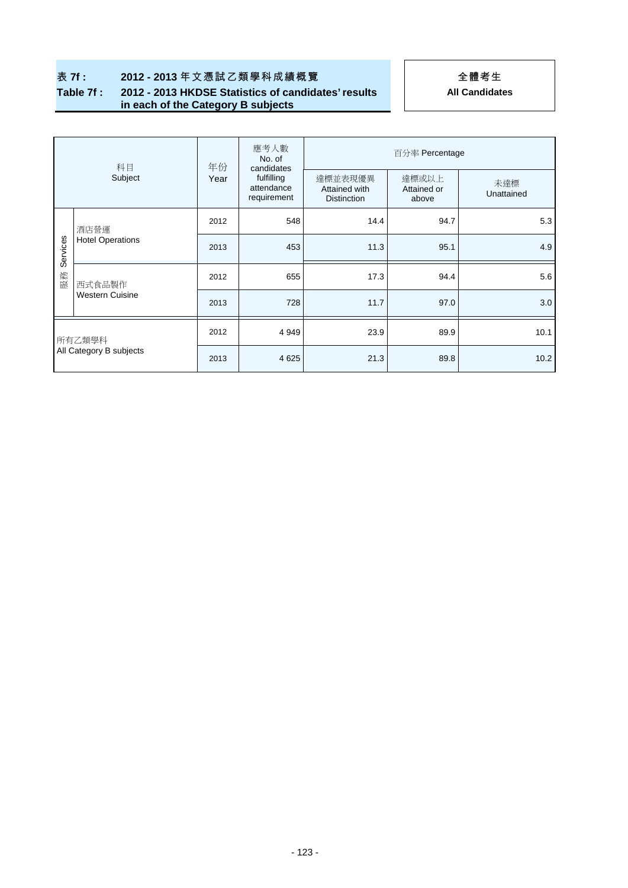# 表 7f : 2012 - 2013 年文憑試乙類學科成績概覽 **1989年 - 1989年 - 1989年 全體考生**

### **Table 7f : 2012 - 2013 HKDSE Statistics of candidates' results in each of the Category B subjects**

| 科目<br>Subject                     |                                  | 年份   | 應考人數<br>No. of<br>candidates            | 百分率 Percentage                                 |                               |                   |  |  |
|-----------------------------------|----------------------------------|------|-----------------------------------------|------------------------------------------------|-------------------------------|-------------------|--|--|
|                                   |                                  | Year | fulfilling<br>attendance<br>requirement | 達標並表現優異<br>Attained with<br><b>Distinction</b> | 達標或以上<br>Attained or<br>above | 未達標<br>Unattained |  |  |
|                                   | 酒店營運<br><b>Hotel Operations</b>  | 2012 | 548                                     | 14.4                                           | 94.7                          | 5.3               |  |  |
| Services                          |                                  | 2013 | 453                                     | 11.3                                           | 95.1                          | 4.9               |  |  |
| 服務                                | 西式食品製作<br><b>Western Cuisine</b> | 2012 | 655                                     | 17.3                                           | 94.4                          | 5.6               |  |  |
|                                   |                                  | 2013 | 728                                     | 11.7                                           | 97.0                          | 3.0               |  |  |
| 所有乙類學科<br>All Category B subjects |                                  | 2012 | 4 9 4 9                                 | 23.9                                           | 89.9                          | 10.1              |  |  |
|                                   |                                  | 2013 | 4 6 2 5                                 | 21.3                                           | 89.8                          | 10.2              |  |  |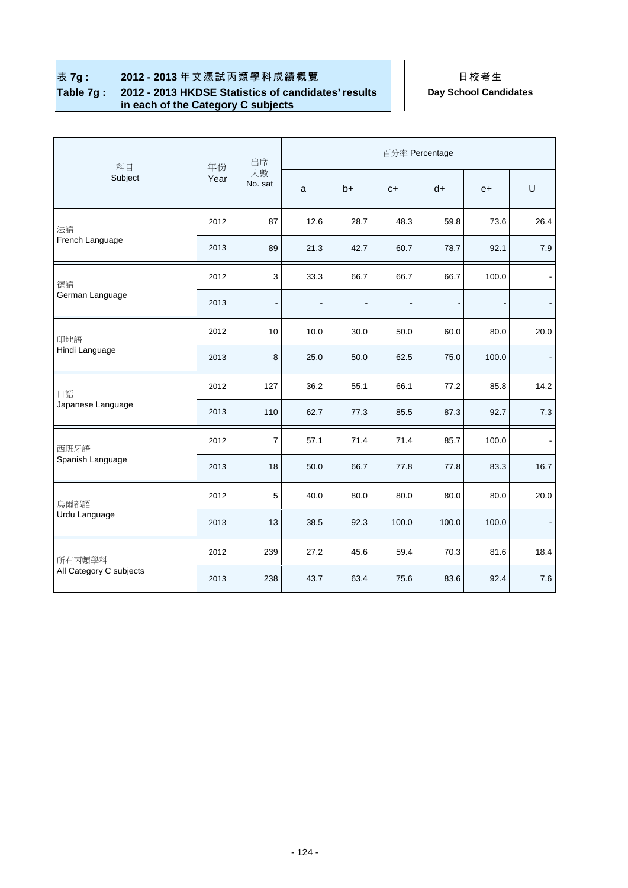#### **Table 7g : 2012 - 2013 HKDSE Statistics of candidates' results in each of the Category C subjects**

|                         | 年份   | 出席            | 百分率 Percentage                                                                                                                                                                                                                                                                                                                                                                                                                                                                                                                                                                                  |      |       |      |      |        |  |
|-------------------------|------|---------------|-------------------------------------------------------------------------------------------------------------------------------------------------------------------------------------------------------------------------------------------------------------------------------------------------------------------------------------------------------------------------------------------------------------------------------------------------------------------------------------------------------------------------------------------------------------------------------------------------|------|-------|------|------|--------|--|
| 科目<br>Subject           | Year | 人數<br>No. sat | a                                                                                                                                                                                                                                                                                                                                                                                                                                                                                                                                                                                               | $b+$ | $C +$ | $d+$ | $e+$ | $\cup$ |  |
| 法語                      | 2012 | 87            | 12.6                                                                                                                                                                                                                                                                                                                                                                                                                                                                                                                                                                                            | 28.7 | 48.3  | 59.8 | 73.6 | 26.4   |  |
| French Language         | 2013 | 89            | 21.3<br>42.7<br>60.7<br>78.7<br>92.1<br>3<br>100.0<br>33.3<br>66.7<br>66.7<br>66.7<br>$\overline{\phantom{a}}$<br>$\qquad \qquad \blacksquare$<br>60.0<br>10.0<br>30.0<br>50.0<br>80.0<br>8<br>25.0<br>50.0<br>62.5<br>75.0<br>100.0<br>36.2<br>55.1<br>66.1<br>77.2<br>85.8<br>62.7<br>77.3<br>85.5<br>87.3<br>92.7<br>$\overline{7}$<br>57.1<br>71.4<br>85.7<br>100.0<br>71.4<br>50.0<br>66.7<br>77.8<br>77.8<br>83.3<br>5<br>40.0<br>80.0<br>80.0<br>80.0<br>80.0<br>38.5<br>92.3<br>100.0<br>100.0<br>100.0<br>27.2<br>45.6<br>59.4<br>70.3<br>81.6<br>43.7<br>63.4<br>75.6<br>83.6<br>92.4 | 7.9  |       |      |      |        |  |
| 德語                      | 2012 |               |                                                                                                                                                                                                                                                                                                                                                                                                                                                                                                                                                                                                 |      |       |      |      |        |  |
| German Language         | 2013 |               |                                                                                                                                                                                                                                                                                                                                                                                                                                                                                                                                                                                                 |      |       |      |      |        |  |
| 印地語                     | 2012 | 10            |                                                                                                                                                                                                                                                                                                                                                                                                                                                                                                                                                                                                 |      |       |      |      | 20.0   |  |
| Hindi Language          | 2013 |               |                                                                                                                                                                                                                                                                                                                                                                                                                                                                                                                                                                                                 |      |       |      |      |        |  |
| 日語                      | 2012 | 127           |                                                                                                                                                                                                                                                                                                                                                                                                                                                                                                                                                                                                 |      |       |      |      | 14.2   |  |
| Japanese Language       | 2013 | 110           |                                                                                                                                                                                                                                                                                                                                                                                                                                                                                                                                                                                                 |      |       |      |      | 7.3    |  |
| 西班牙語                    | 2012 |               |                                                                                                                                                                                                                                                                                                                                                                                                                                                                                                                                                                                                 |      |       |      |      |        |  |
| Spanish Language        | 2013 | 18            |                                                                                                                                                                                                                                                                                                                                                                                                                                                                                                                                                                                                 |      |       |      |      | 16.7   |  |
| 烏爾都語                    | 2012 |               |                                                                                                                                                                                                                                                                                                                                                                                                                                                                                                                                                                                                 |      |       |      |      | 20.0   |  |
| Urdu Language           | 2013 | 13            |                                                                                                                                                                                                                                                                                                                                                                                                                                                                                                                                                                                                 |      |       |      |      |        |  |
| 所有丙類學科                  | 2012 | 239           |                                                                                                                                                                                                                                                                                                                                                                                                                                                                                                                                                                                                 |      |       |      |      | 18.4   |  |
| All Category C subjects | 2013 | 238           |                                                                                                                                                                                                                                                                                                                                                                                                                                                                                                                                                                                                 |      |       |      |      | 7.6    |  |